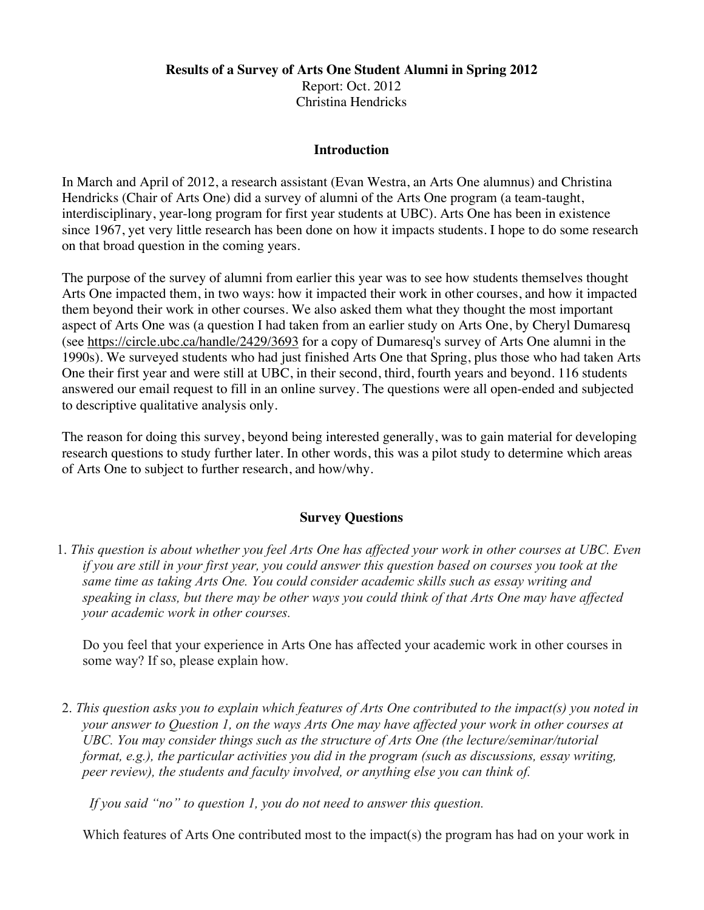## **Results of a Survey of Arts One Student Alumni in Spring 2012** Report: Oct. 2012 Christina Hendricks

## **Introduction**

In March and April of 2012, a research assistant (Evan Westra, an Arts One alumnus) and Christina Hendricks (Chair of Arts One) did a survey of alumni of the Arts One program (a team-taught, interdisciplinary, year-long program for first year students at UBC). Arts One has been in existence since 1967, yet very little research has been done on how it impacts students. I hope to do some research on that broad question in the coming years.

The purpose of the survey of alumni from earlier this year was to see how students themselves thought Arts One impacted them, in two ways: how it impacted their work in other courses, and how it impacted them beyond their work in other courses. We also asked them what they thought the most important aspect of Arts One was (a question I had taken from an earlier study on Arts One, by Cheryl Dumaresq (see https://circle.ubc.ca/handle/2429/3693 for a copy of Dumaresq's survey of Arts One alumni in the 1990s). We surveyed students who had just finished Arts One that Spring, plus those who had taken Arts One their first year and were still at UBC, in their second, third, fourth years and beyond. 116 students answered our email request to fill in an online survey. The questions were all open-ended and subjected to descriptive qualitative analysis only.

The reason for doing this survey, beyond being interested generally, was to gain material for developing research questions to study further later. In other words, this was a pilot study to determine which areas of Arts One to subject to further research, and how/why.

### **Survey Questions**

1. *This question is about whether you feel Arts One has affected your work in other courses at UBC. Even if you are still in your first year, you could answer this question based on courses you took at the same time as taking Arts One. You could consider academic skills such as essay writing and speaking in class, but there may be other ways you could think of that Arts One may have affected your academic work in other courses.*

Do you feel that your experience in Arts One has affected your academic work in other courses in some way? If so, please explain how.

2. *This question asks you to explain which features of Arts One contributed to the impact(s) you noted in your answer to Question 1, on the ways Arts One may have affected your work in other courses at UBC. You may consider things such as the structure of Arts One (the lecture/seminar/tutorial format, e.g.), the particular activities you did in the program (such as discussions, essay writing, peer review), the students and faculty involved, or anything else you can think of.*

 *If you said "no" to question 1, you do not need to answer this question.*

Which features of Arts One contributed most to the impact(s) the program has had on your work in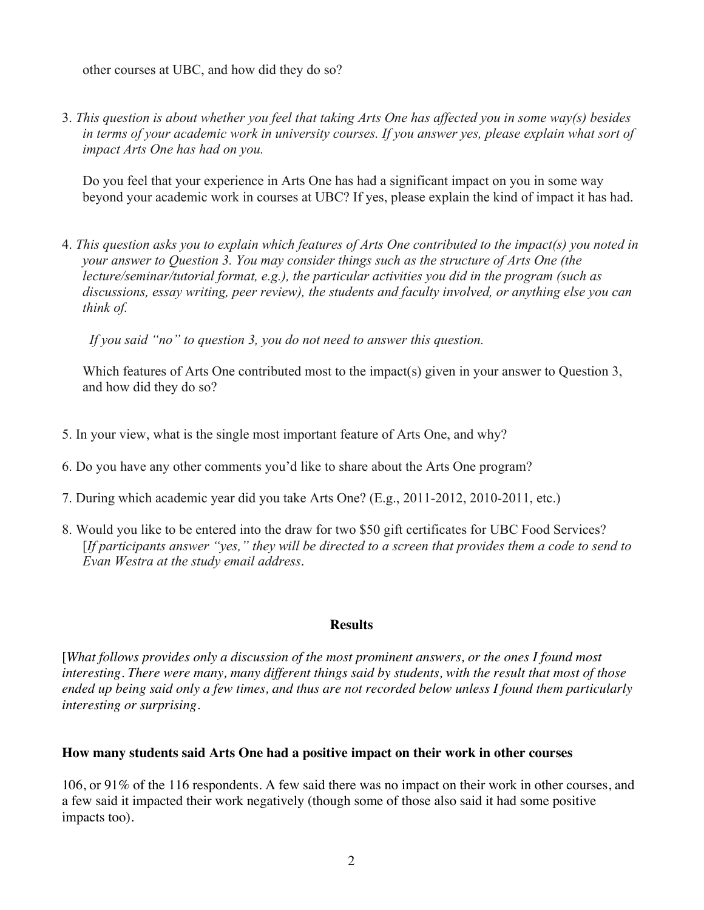other courses at UBC, and how did they do so?

3. *This question is about whether you feel that taking Arts One has affected you in some way(s) besides in terms of your academic work in university courses. If you answer yes, please explain what sort of impact Arts One has had on you.*

Do you feel that your experience in Arts One has had a significant impact on you in some way beyond your academic work in courses at UBC? If yes, please explain the kind of impact it has had.

4. *This question asks you to explain which features of Arts One contributed to the impact(s) you noted in your answer to Question 3. You may consider things such as the structure of Arts One (the lecture/seminar/tutorial format, e.g.), the particular activities you did in the program (such as discussions, essay writing, peer review), the students and faculty involved, or anything else you can think of.*

 *If you said "no" to question 3, you do not need to answer this question.*

Which features of Arts One contributed most to the impact(s) given in your answer to Question 3, and how did they do so?

- 5. In your view, what is the single most important feature of Arts One, and why?
- 6. Do you have any other comments you'd like to share about the Arts One program?
- 7. During which academic year did you take Arts One? (E.g., 2011-2012, 2010-2011, etc.)
- 8. Would you like to be entered into the draw for two \$50 gift certificates for UBC Food Services? [*If participants answer "yes," they will be directed to a screen that provides them a code to send to Evan Westra at the study email address*.

### **Results**

[*What follows provides only a discussion of the most prominent answers, or the ones I found most interesting. There were many, many different things said by students, with the result that most of those ended up being said only a few times, and thus are not recorded below unless I found them particularly interesting or surprising.*

#### **How many students said Arts One had a positive impact on their work in other courses**

106, or 91% of the 116 respondents. A few said there was no impact on their work in other courses, and a few said it impacted their work negatively (though some of those also said it had some positive impacts too).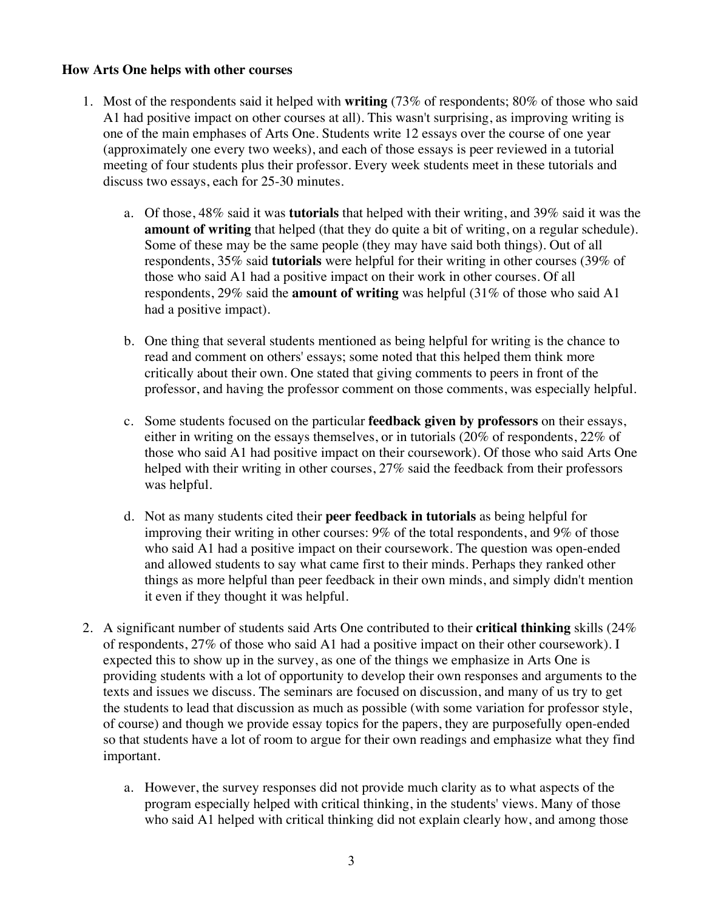## **How Arts One helps with other courses**

- 1. Most of the respondents said it helped with **writing** (73% of respondents; 80% of those who said A1 had positive impact on other courses at all). This wasn't surprising, as improving writing is one of the main emphases of Arts One. Students write 12 essays over the course of one year (approximately one every two weeks), and each of those essays is peer reviewed in a tutorial meeting of four students plus their professor. Every week students meet in these tutorials and discuss two essays, each for 25-30 minutes.
	- a. Of those, 48% said it was **tutorials** that helped with their writing, and 39% said it was the **amount of writing** that helped (that they do quite a bit of writing, on a regular schedule). Some of these may be the same people (they may have said both things). Out of all respondents, 35% said **tutorials** were helpful for their writing in other courses (39% of those who said A1 had a positive impact on their work in other courses. Of all respondents, 29% said the **amount of writing** was helpful (31% of those who said A1 had a positive impact).
	- b. One thing that several students mentioned as being helpful for writing is the chance to read and comment on others' essays; some noted that this helped them think more critically about their own. One stated that giving comments to peers in front of the professor, and having the professor comment on those comments, was especially helpful.
	- c. Some students focused on the particular **feedback given by professors** on their essays, either in writing on the essays themselves, or in tutorials (20% of respondents, 22% of those who said A1 had positive impact on their coursework). Of those who said Arts One helped with their writing in other courses, 27% said the feedback from their professors was helpful.
	- d. Not as many students cited their **peer feedback in tutorials** as being helpful for improving their writing in other courses: 9% of the total respondents, and 9% of those who said A1 had a positive impact on their coursework. The question was open-ended and allowed students to say what came first to their minds. Perhaps they ranked other things as more helpful than peer feedback in their own minds, and simply didn't mention it even if they thought it was helpful.
- 2. A significant number of students said Arts One contributed to their **critical thinking** skills (24% of respondents, 27% of those who said A1 had a positive impact on their other coursework). I expected this to show up in the survey, as one of the things we emphasize in Arts One is providing students with a lot of opportunity to develop their own responses and arguments to the texts and issues we discuss. The seminars are focused on discussion, and many of us try to get the students to lead that discussion as much as possible (with some variation for professor style, of course) and though we provide essay topics for the papers, they are purposefully open-ended so that students have a lot of room to argue for their own readings and emphasize what they find important.
	- a. However, the survey responses did not provide much clarity as to what aspects of the program especially helped with critical thinking, in the students' views. Many of those who said A1 helped with critical thinking did not explain clearly how, and among those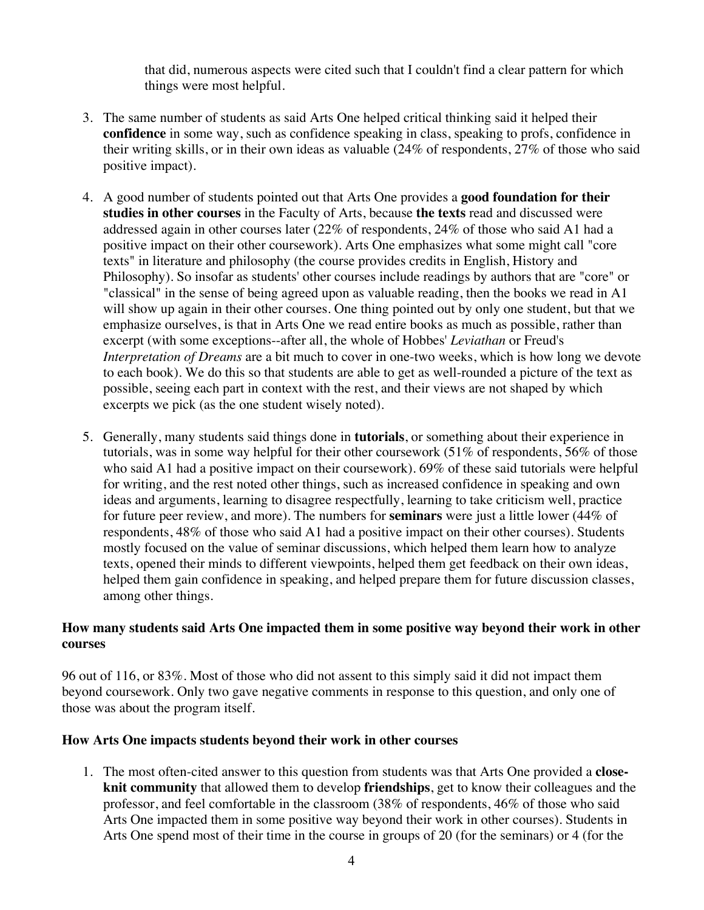that did, numerous aspects were cited such that I couldn't find a clear pattern for which things were most helpful.

- 3. The same number of students as said Arts One helped critical thinking said it helped their **confidence** in some way, such as confidence speaking in class, speaking to profs, confidence in their writing skills, or in their own ideas as valuable (24% of respondents, 27% of those who said positive impact).
- 4. A good number of students pointed out that Arts One provides a **good foundation for their studies in other courses** in the Faculty of Arts, because **the texts** read and discussed were addressed again in other courses later (22% of respondents, 24% of those who said A1 had a positive impact on their other coursework). Arts One emphasizes what some might call "core texts" in literature and philosophy (the course provides credits in English, History and Philosophy). So insofar as students' other courses include readings by authors that are "core" or "classical" in the sense of being agreed upon as valuable reading, then the books we read in A1 will show up again in their other courses. One thing pointed out by only one student, but that we emphasize ourselves, is that in Arts One we read entire books as much as possible, rather than excerpt (with some exceptions--after all, the whole of Hobbes' *Leviathan* or Freud's *Interpretation of Dreams* are a bit much to cover in one-two weeks, which is how long we devote to each book). We do this so that students are able to get as well-rounded a picture of the text as possible, seeing each part in context with the rest, and their views are not shaped by which excerpts we pick (as the one student wisely noted).
- 5. Generally, many students said things done in **tutorials**, or something about their experience in tutorials, was in some way helpful for their other coursework (51% of respondents, 56% of those who said A1 had a positive impact on their coursework). 69% of these said tutorials were helpful for writing, and the rest noted other things, such as increased confidence in speaking and own ideas and arguments, learning to disagree respectfully, learning to take criticism well, practice for future peer review, and more). The numbers for **seminars** were just a little lower (44% of respondents, 48% of those who said A1 had a positive impact on their other courses). Students mostly focused on the value of seminar discussions, which helped them learn how to analyze texts, opened their minds to different viewpoints, helped them get feedback on their own ideas, helped them gain confidence in speaking, and helped prepare them for future discussion classes, among other things.

# **How many students said Arts One impacted them in some positive way beyond their work in other courses**

96 out of 116, or 83%. Most of those who did not assent to this simply said it did not impact them beyond coursework. Only two gave negative comments in response to this question, and only one of those was about the program itself.

# **How Arts One impacts students beyond their work in other courses**

1. The most often-cited answer to this question from students was that Arts One provided a **closeknit community** that allowed them to develop **friendships**, get to know their colleagues and the professor, and feel comfortable in the classroom (38% of respondents, 46% of those who said Arts One impacted them in some positive way beyond their work in other courses). Students in Arts One spend most of their time in the course in groups of 20 (for the seminars) or 4 (for the